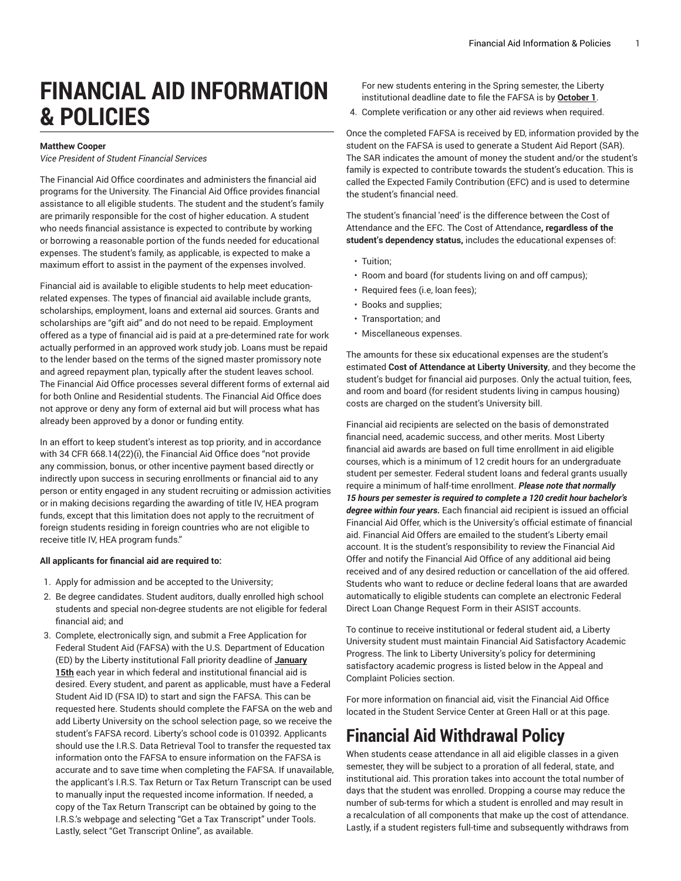# **FINANCIAL AID INFORMATION & POLICIES**

#### **Matthew Cooper**

*Vice President of Student Financial Services*

The Financial Aid Office coordinates and administers the financial aid programs for the University. The Financial Aid Office provides financial assistance to all eligible students. The student and the student's family are primarily responsible for the cost of higher education. A student who needs financial assistance is expected to contribute by working or borrowing a reasonable portion of the funds needed for educational expenses. The student's family, as applicable, is expected to make a maximum effort to assist in the payment of the expenses involved.

Financial aid is available to eligible students to help meet educationrelated expenses. The types of financial aid available include grants, scholarships, employment, loans and external aid sources. Grants and scholarships are "gift aid" and do not need to be repaid. Employment offered as a type of financial aid is paid at a pre-determined rate for work actually performed in an approved work study job. Loans must be repaid to the lender based on the terms of the signed master promissory note and agreed repayment plan, typically after the student leaves school. The Financial Aid Office processes several different forms of external aid for both Online and Residential students. The Financial Aid Office does not approve or deny any form of external aid but will process what has already been approved by a donor or funding entity.

In an effort to keep student's interest as top priority, and in accordance with 34 CFR 668.14(22)(i), the Financial Aid Office does "not provide any commission, bonus, or other incentive payment based directly or indirectly upon success in securing enrollments or financial aid to any person or entity engaged in any student recruiting or admission activities or in making decisions regarding the awarding of title IV, HEA program funds, except that this limitation does not apply to the recruitment of foreign students residing in foreign countries who are not eligible to receive title IV, HEA program funds."

#### **All applicants for financial aid are required to:**

- 1. Apply for admission and be accepted to the University;
- 2. Be degree candidates. Student auditors, dually enrolled high school students and special non-degree students are not eligible for federal financial aid; and
- 3. Complete, electronically sign, and submit a Free Application for Federal Student Aid (FAFSA) with the U.S. Department of Education (ED) by the Liberty institutional Fall priority deadline of **January 15th** each year in which federal and institutional financial aid is desired. Every student, and parent as applicable, must have a Federal Student Aid ID (FSA ID) to start and sign the FAFSA. This can be requested [here.](https://studentaid.gov/fsa-id/create-account/launch/) Students should complete the FAFSA on the [web](https://studentaid.gov/) and add Liberty University on the school selection page, so we receive the student's FAFSA record. Liberty's school code is 010392. Applicants should use the I.R.S. Data Retrieval Tool to transfer the requested tax information onto the FAFSA to ensure information on the FAFSA is accurate and to save time when completing the FAFSA. If unavailable, the applicant's I.R.S. Tax Return or Tax Return Transcript can be used to manually input the requested income information. If needed, a copy of the Tax Return Transcript can be obtained by going to the I.R.S.'s [webpage](http://www.irs.gov/) and selecting "Get a Tax Transcript" under Tools. Lastly, select "Get Transcript Online", as available.

For new students entering in the Spring semester, the Liberty institutional deadline date to file the FAFSA is by **October 1**.

4. Complete verification or any other aid reviews when required.

Once the completed FAFSA is received by ED, information provided by the student on the FAFSA is used to generate a Student Aid Report (SAR). The SAR indicates the amount of money the student and/or the student's family is expected to contribute towards the student's education. This is called the Expected Family Contribution (EFC) and is used to determine the student's financial need.

The student's financial 'need' is the difference between the Cost of Attendance and the EFC. The Cost of Attendance**, regardless of the student's dependency status,** includes the educational expenses of:

- Tuition;
- Room and board (for students living on and off campus);
- Required fees (i.e, loan fees);
- Books and supplies;
- Transportation; and
- Miscellaneous expenses.

The amounts for these six educational expenses are the student's estimated **Cost of Attendance at Liberty University**, and they become the student's budget for financial aid purposes. Only the actual tuition, fees, and room and board (for resident students living in campus housing) costs are charged on the student's University bill.

Financial aid recipients are selected on the basis of demonstrated financial need, academic success, and other merits. Most Liberty financial aid awards are based on full time enrollment in aid eligible courses, which is a minimum of 12 credit hours for an undergraduate student per semester. Federal student loans and federal grants usually require a minimum of half-time enrollment. *Please note that normally 15 hours per semester is required to complete a 120 credit hour bachelor's degree within four years.* Each financial aid recipient is issued an official Financial Aid Offer, which is the University's official estimate of financial aid. Financial Aid Offers are emailed to the student's Liberty email account. It is the student's responsibility to review the Financial Aid Offer and notify the Financial Aid Office of any additional aid being received and of any desired reduction or cancellation of the aid offered. Students who want to reduce or decline federal loans that are awarded automatically to eligible students can complete an electronic Federal Direct Loan Change Request Form in their ASIST accounts.

To continue to receive institutional or federal student aid, a Liberty University student must maintain Financial Aid Satisfactory Academic Progress. The link to Liberty University's policy for determining satisfactory academic progress is listed below in the Appeal and Complaint Policies section.

For more information on financial aid, visit the Financial Aid Office located in the Student Service Center at Green Hall or [at this page](https://www.liberty.edu/student-financial-services/).

### **Financial Aid Withdrawal Policy**

When students cease attendance in all aid eligible classes in a given semester, they will be subject to a proration of all federal, state, and institutional aid. This proration takes into account the total number of days that the student was enrolled. Dropping a course may reduce the number of sub-terms for which a student is enrolled and may result in a recalculation of all components that make up the cost of attendance. Lastly, if a student registers full-time and subsequently withdraws from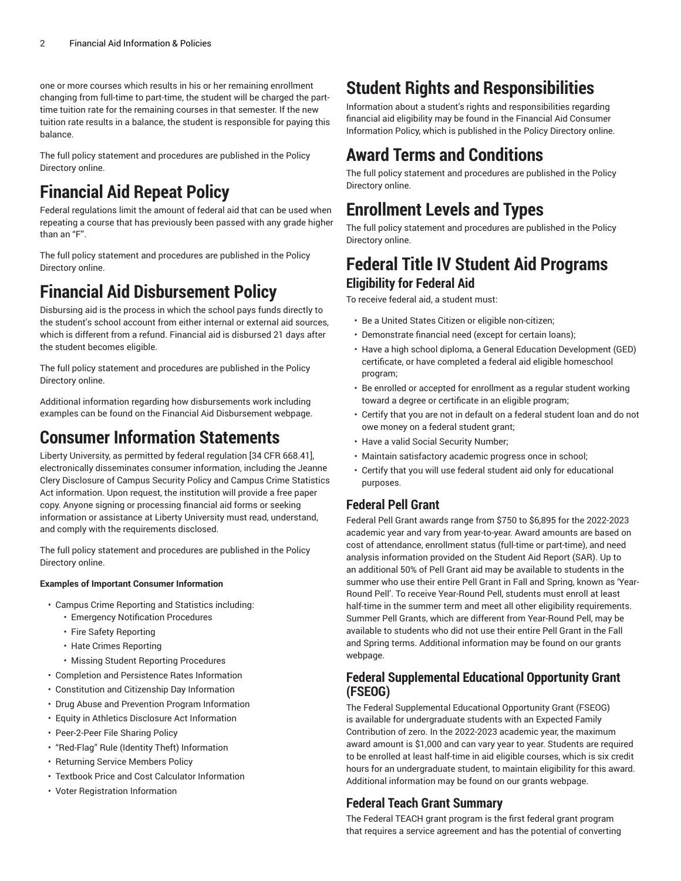one or more courses which results in his or her remaining enrollment changing from full-time to part-time, the student will be charged the parttime tuition rate for the remaining courses in that semester. If the new tuition rate results in a balance, the student is responsible for paying this balance.

The full policy statement and procedures are published in the [Policy](https://wiki.os.liberty.edu/display/IE/12.1.0.0+2022-23+Financial+Aid+Withdrawal+Policy/) [Directory](https://wiki.os.liberty.edu/display/IE/12.1.0.0+2022-23+Financial+Aid+Withdrawal+Policy/) online.

## **Financial Aid Repeat Policy**

Federal regulations limit the amount of federal aid that can be used when repeating a course that has previously been passed with any grade higher than an "F".

The full policy statement and procedures are published in the [Policy](https://wiki.os.liberty.edu/display/IE/3.2.3.0+2022-23+Financial+Aid+Repeat+Coursework+Policy/) [Directory](https://wiki.os.liberty.edu/display/IE/3.2.3.0+2022-23+Financial+Aid+Repeat+Coursework+Policy/) online.

### **Financial Aid Disbursement Policy**

Disbursing aid is the process in which the school pays funds directly to the student's school account from either internal or external aid sources, which is different from a refund. Financial aid is disbursed 21 days after the student becomes eligible.

The full policy statement and procedures are published in the [Policy](https://wiki.os.liberty.edu/display/IE/10.0.0.0+Financial+Aid+Disbursement+Policy/) [Directory](https://wiki.os.liberty.edu/display/IE/10.0.0.0+Financial+Aid+Disbursement+Policy/) online.

Additional information regarding how disbursements work including examples can be found on the [Financial Aid Disbursement webpage.](https://www.liberty.edu/student-financial-services/payments/financial-aid-disbursement/)

### **Consumer Information Statements**

Liberty University, as permitted by federal regulation [34 CFR 668.41], electronically disseminates consumer information, including the Jeanne Clery Disclosure of Campus Security Policy and Campus Crime Statistics Act information. Upon request, the institution will provide a free paper copy. Anyone signing or processing financial aid forms or seeking information or assistance at Liberty University must read, understand, and comply with the requirements disclosed.

The full policy statement and procedures are published in the [Policy](https://wiki.os.liberty.edu/display/IE/4.0.0.0+Liberty+University+Financial+Aid+Consumer+Information/) [Directory](https://wiki.os.liberty.edu/display/IE/4.0.0.0+Liberty+University+Financial+Aid+Consumer+Information/) online.

#### **Examples of Important Consumer Information**

- Campus Crime Reporting and Statistics including:
	- Emergency Notification Procedures
	- Fire Safety Reporting
	- Hate Crimes Reporting
	- Missing Student Reporting Procedures
- Completion and Persistence Rates Information
- Constitution and Citizenship Day Information
- Drug Abuse and Prevention Program Information
- Equity in Athletics Disclosure Act Information
- Peer-2-Peer File Sharing Policy
- "Red-Flag" Rule (Identity Theft) Information
- Returning Service Members Policy
- Textbook Price and Cost Calculator Information
- Voter Registration Information

## **Student Rights and Responsibilities**

Information about a student's rights and responsibilities regarding financial aid eligibility may be found in the Financial Aid Consumer Information Policy, which is published in the Policy [Directory](https://wiki.os.liberty.edu/display/IE/4.0.0.0+Liberty+University+Financial+Aid+Consumer+Information/) online.

### **Award Terms and Conditions**

The full policy statement and procedures are published in the [Policy](https://wiki.os.liberty.edu/display/IE/4.1.9.0+2022-23+Award+Terms+and+Conditions/) [Directory](https://wiki.os.liberty.edu/display/IE/4.1.9.0+2022-23+Award+Terms+and+Conditions/) online.

### **Enrollment Levels and Types**

The full policy statement and procedures are published in the [Policy](https://wiki.os.liberty.edu/display/IE/3.2.1.0+Enrollment+Levels+and+Types+Policy/) [Directory](https://wiki.os.liberty.edu/display/IE/3.2.1.0+Enrollment+Levels+and+Types+Policy/) online.

### **Federal Title IV Student Aid Programs Eligibility for Federal Aid**

To receive federal aid, a student must:

- Be a United States Citizen or eligible non-citizen;
- Demonstrate financial need (except for certain loans);
- Have a high school diploma, a General Education Development (GED) certificate, or have completed a federal aid eligible homeschool program;
- Be enrolled or accepted for enrollment as a regular student working toward a degree or certificate in an eligible program;
- Certify that you are not in default on a federal student loan and do not owe money on a federal student grant;
- Have a valid Social Security Number;
- Maintain satisfactory academic progress once in school;
- Certify that you will use federal student aid only for educational purposes.

### **Federal Pell Grant**

Federal Pell Grant awards range from \$750 to \$6,895 for the 2022-2023 academic year and vary from year-to-year. Award amounts are based on cost of attendance, enrollment status (full-time or part-time), and need analysis information provided on the Student Aid Report (SAR). Up to an additional 50% of Pell Grant aid may be available to students in the summer who use their entire Pell Grant in Fall and Spring, known as 'Year-Round Pell'. To receive Year-Round Pell, students must enroll at least half-time in the summer term and meet all other eligibility requirements. Summer Pell Grants, which are different from Year-Round Pell, may be available to students who did not use their entire Pell Grant in the Fall and Spring terms. Additional information may be found on our grants [webpage.](https://www.liberty.edu/student-financial-services/grants/)

#### **Federal Supplemental Educational Opportunity Grant (FSEOG)**

The Federal Supplemental Educational Opportunity Grant (FSEOG) is available for undergraduate students with an Expected Family Contribution of zero. In the 2022-2023 academic year, the maximum award amount is \$1,000 and can vary year to year. Students are required to be enrolled at least half-time in aid eligible courses, which is six credit hours for an undergraduate student, to maintain eligibility for this award. Additional information may be found on our grants [webpage](https://www.liberty.edu/student-financial-services/grants/).

#### **Federal Teach Grant Summary**

The Federal TEACH grant program is the first federal grant program that requires a service agreement and has the potential of converting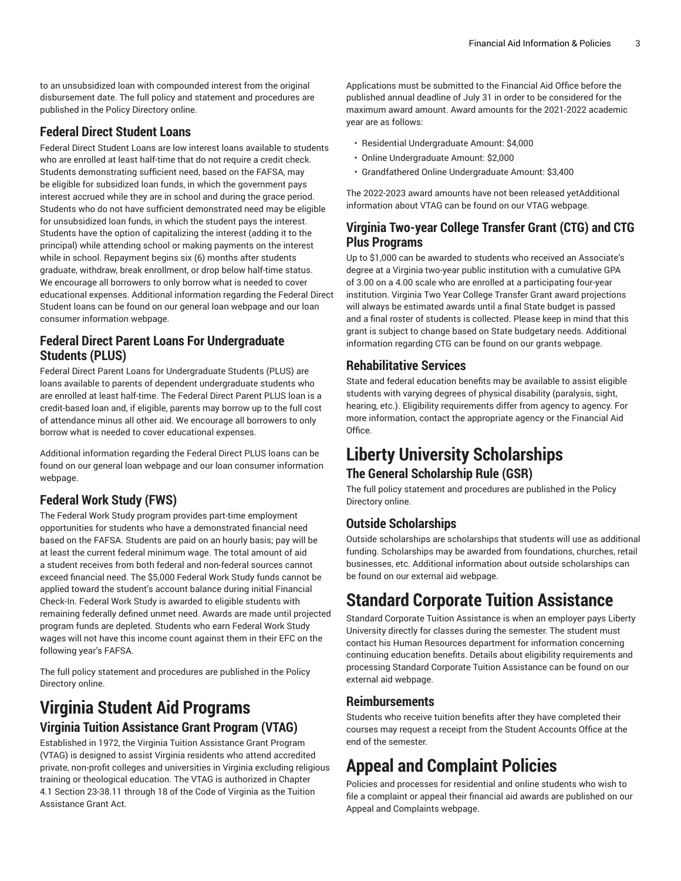to an unsubsidized loan with compounded interest from the original disbursement date. The full policy and statement and procedures are published in the Policy [Directory](https://wiki.os.liberty.edu/display/IE/3.3.4.0+Federal+TEACH+Grant+Policy/) online.

#### **Federal Direct Student Loans**

Federal Direct Student Loans are low interest loans available to students who are enrolled at least half-time that do not require a credit check. Students demonstrating sufficient need, based on the FAFSA, may be eligible for subsidized loan funds, in which the government pays interest accrued while they are in school and during the grace period. Students who do not have sufficient demonstrated need may be eligible for unsubsidized loan funds, in which the student pays the interest. Students have the option of capitalizing the interest (adding it to the principal) while attending school or making payments on the interest while in school. Repayment begins six (6) months after students graduate, withdraw, break enrollment, or drop below half-time status. We encourage all borrowers to only borrow what is needed to cover educational expenses. Additional information regarding the Federal Direct Student loans can be found on our general loan [webpage](https://www.liberty.edu/student-financial-services/loans/) and our loan consumer information [webpage](https://www.liberty.edu/student-financial-services/consumer-information/loans/).

#### **Federal Direct Parent Loans For Undergraduate Students (PLUS)**

Federal Direct Parent Loans for Undergraduate Students (PLUS) are loans available to parents of dependent undergraduate students who are enrolled at least half-time. The Federal Direct Parent PLUS loan is a credit-based loan and, if eligible, parents may borrow up to the full cost of attendance minus all other aid. We encourage all borrowers to only borrow what is needed to cover educational expenses.

Additional information regarding the Federal Direct PLUS loans can be found on our general loan [webpage](https://www.liberty.edu/student-financial-services/loans/) and our loan consumer information [webpage.](https://www.liberty.edu/student-financial-services/consumer-information/loans/)

### **Federal Work Study (FWS)**

The Federal Work Study program provides part-time employment opportunities for students who have a demonstrated financial need based on the FAFSA. Students are paid on an hourly basis; pay will be at least the current federal minimum wage. The total amount of aid a student receives from both federal and non-federal sources cannot exceed financial need. The \$5,000 Federal Work Study funds cannot be applied toward the student's account balance during initial Financial Check-In. Federal Work Study is awarded to eligible students with remaining federally defined unmet need. Awards are made until projected program funds are depleted. Students who earn Federal Work Study wages will not have this income count against them in their EFC on the following year's FAFSA.

The full policy statement and procedures are published in the [Policy](https://wiki.os.liberty.edu/display/IE/3.3.3.0+Federal+Work+Study+Program+Policy/) [Directory](https://wiki.os.liberty.edu/display/IE/3.3.3.0+Federal+Work+Study+Program+Policy/) online.

### **Virginia Student Aid Programs Virginia Tuition Assistance Grant Program (VTAG)**

Established in 1972, the Virginia Tuition Assistance Grant Program (VTAG) is designed to assist Virginia residents who attend accredited private, non-profit colleges and universities in Virginia excluding religious training or theological education. The VTAG is authorized in Chapter 4.1 Section 23-38.11 through 18 of the Code of Virginia as the Tuition Assistance Grant Act.

Applications must be submitted to the Financial Aid Office before the published annual deadline of July 31 in order to be considered for the maximum award amount. Award amounts for the 2021-2022 academic year are as follows:

- Residential Undergraduate Amount: \$4,000
- Online Undergraduate Amount: \$2,000
- Grandfathered Online Undergraduate Amount: \$3,400

The 2022-2023 award amounts have not been released yetAdditional information about VTAG can be found on our VTAG [webpage](https://www.liberty.edu/student-financial-services/vtag/).

#### **Virginia Two-year College Transfer Grant (CTG) and CTG Plus Programs**

Up to \$1,000 can be awarded to students who received an Associate's degree at a Virginia two-year public institution with a cumulative GPA of 3.00 on a 4.00 scale who are enrolled at a participating four-year institution. Virginia Two Year College Transfer Grant award projections will always be estimated awards until a final State budget is passed and a final roster of students is collected. Please keep in mind that this grant is subject to change based on State budgetary needs. Additional information regarding CTG can be found on our grants [webpage.](https://www.liberty.edu/student-financial-services/grants/)

#### **Rehabilitative Services**

State and federal education benefits may be available to assist eligible students with varying degrees of physical disability (paralysis, sight, hearing, etc.). Eligibility requirements differ from agency to agency. For more information, contact the appropriate agency or the Financial Aid Office.

### **Liberty University Scholarships The General Scholarship Rule (GSR)**

The full policy statement and procedures are published in the [Policy](https://wiki.os.liberty.edu/display/IE/3.5.4.0+2022-23+General+Scholarship+Rule+Policy/) [Directory](https://wiki.os.liberty.edu/display/IE/3.5.4.0+2022-23+General+Scholarship+Rule+Policy/) online.

### **Outside Scholarships**

Outside scholarships are scholarships that students will use as additional funding. Scholarships may be awarded from foundations, churches, retail businesses, etc. Additional information about outside scholarships can be found on our external aid [webpage](https://www.liberty.edu/student-financial-services/external-aid-processing/).

## **Standard Corporate Tuition Assistance**

Standard Corporate Tuition Assistance is when an employer pays Liberty University directly for classes during the semester. The student must contact his Human Resources department for information concerning continuing education benefits. Details about eligibility requirements and processing Standard Corporate Tuition Assistance can be found on our external aid [webpage.](https://www.liberty.edu/student-financial-services/external-aid-processing/)

#### **Reimbursements**

Students who receive tuition benefits after they have completed their courses may request a receipt from the Student Accounts Office at the end of the semester.

# **Appeal and Complaint Policies**

Policies and processes for residential and online students who wish to file a complaint or appeal their financial aid awards are published on our [Appeal and Complaints](https://www.liberty.edu/student-financial-services/account-appeals-complaints/) [webpage](https://www.liberty.edu/student-financial-services/account-appeals-complaints/).